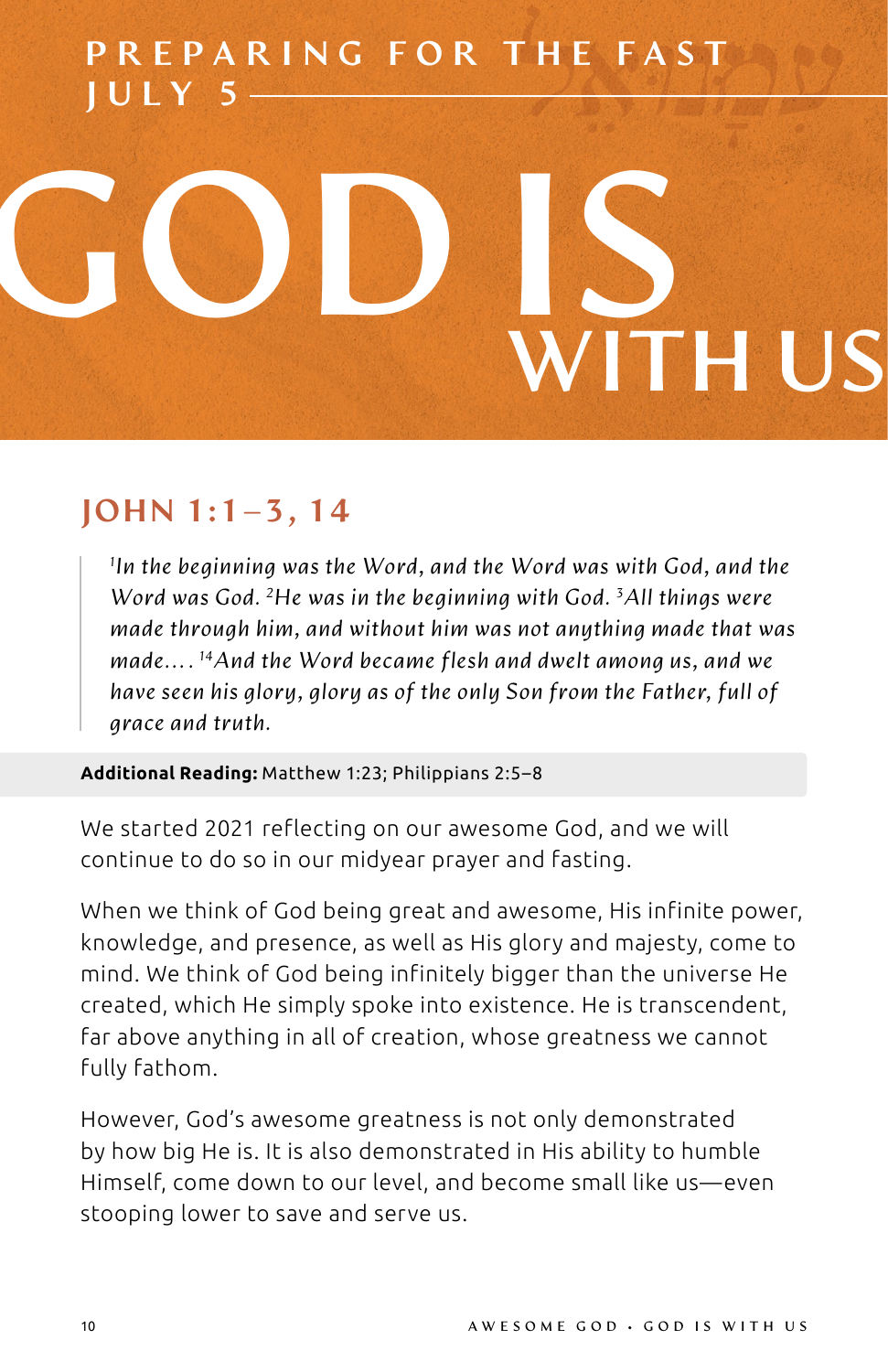## PREPARING FOR THE FAST JULY 5

# **GOD IS WITH US**

#### JOHN 1:1–3, 14

*1 In the beginning was the Word, and the Word was with God, and the Word was God. 2He was in the beginning with God. 3 All things were made through him, and without him was not anything made that was made. . . . 14And the Word became flesh and dwelt among us, and we have seen his glory, glory as of the only Son from the Father, full of grace and truth.*

**Additional Reading:** Matthew 1:23; Philippians 2:5–8

We started 2021 reflecting on our awesome God, and we will continue to do so in our midyear prayer and fasting.

When we think of God being great and awesome, His infinite power, knowledge, and presence, as well as His glory and majesty, come to mind. We think of God being infinitely bigger than the universe He created, which He simply spoke into existence. He is transcendent, far above anything in all of creation, whose greatness we cannot fully fathom.

However, God's awesome greatness is not only demonstrated by how big He is. It is also demonstrated in His ability to humble Himself, come down to our level, and become small like us—even stooping lower to save and serve us.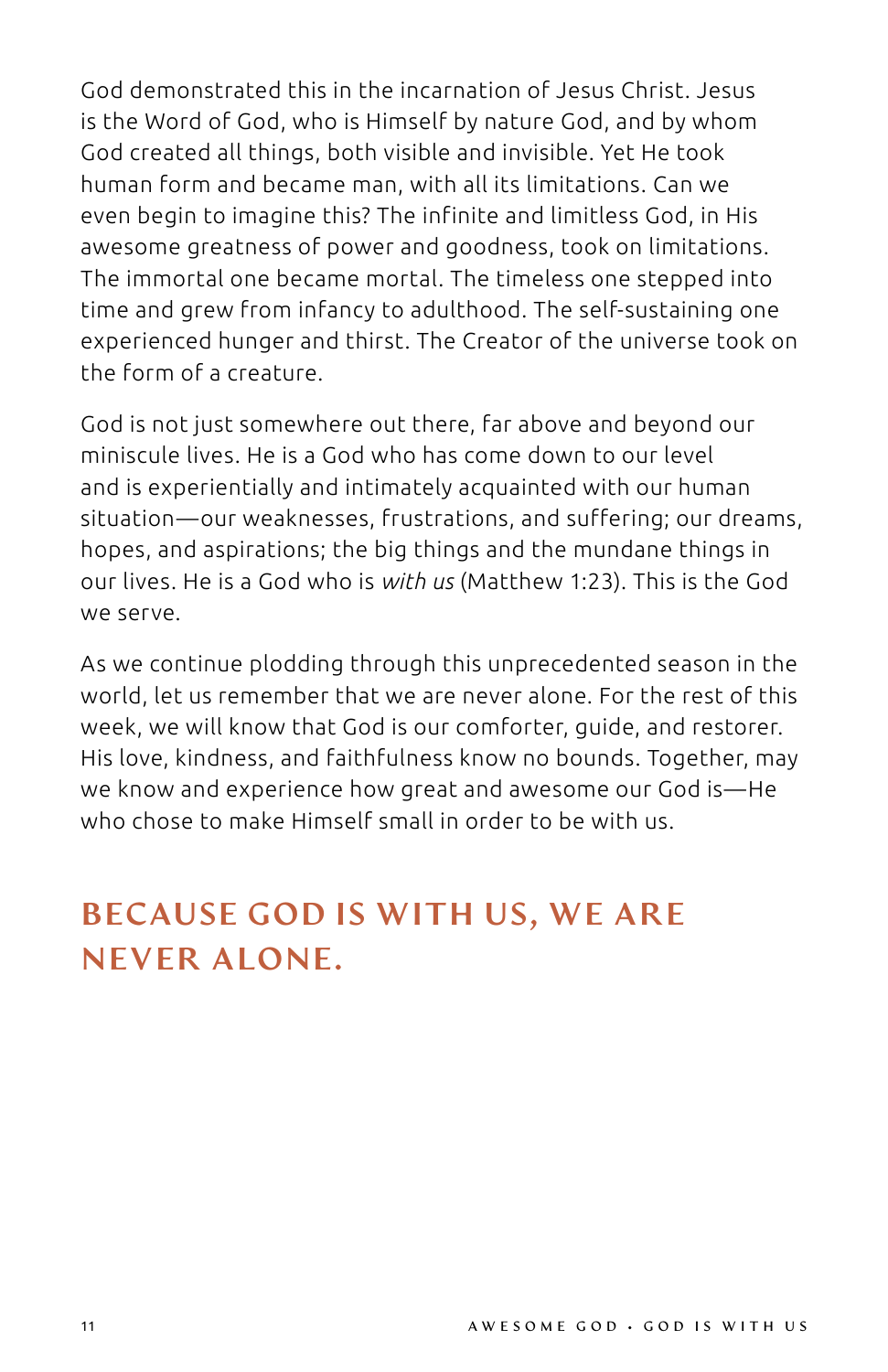God demonstrated this in the incarnation of Jesus Christ. Jesus is the Word of God, who is Himself by nature God, and by whom God created all things, both visible and invisible. Yet He took human form and became man, with all its limitations. Can we even begin to imagine this? The infinite and limitless God, in His awesome greatness of power and goodness, took on limitations. The immortal one became mortal. The timeless one stepped into time and grew from infancy to adulthood. The self-sustaining one experienced hunger and thirst. The Creator of the universe took on the form of a creature.

God is not just somewhere out there, far above and beyond our miniscule lives. He is a God who has come down to our level and is experientially and intimately acquainted with our human situation—our weaknesses, frustrations, and suffering; our dreams, hopes, and aspirations; the big things and the mundane things in our lives. He is a God who is *with us* (Matthew 1:23). This is the God we serve.

As we continue plodding through this unprecedented season in the world, let us remember that we are never alone. For the rest of this week, we will know that God is our comforter, guide, and restorer. His love, kindness, and faithfulness know no bounds. Together, may we know and experience how great and awesome our God is—He who chose to make Himself small in order to be with us.

### BECAUSE GOD IS WITH US, WE ARE NEVER ALONE.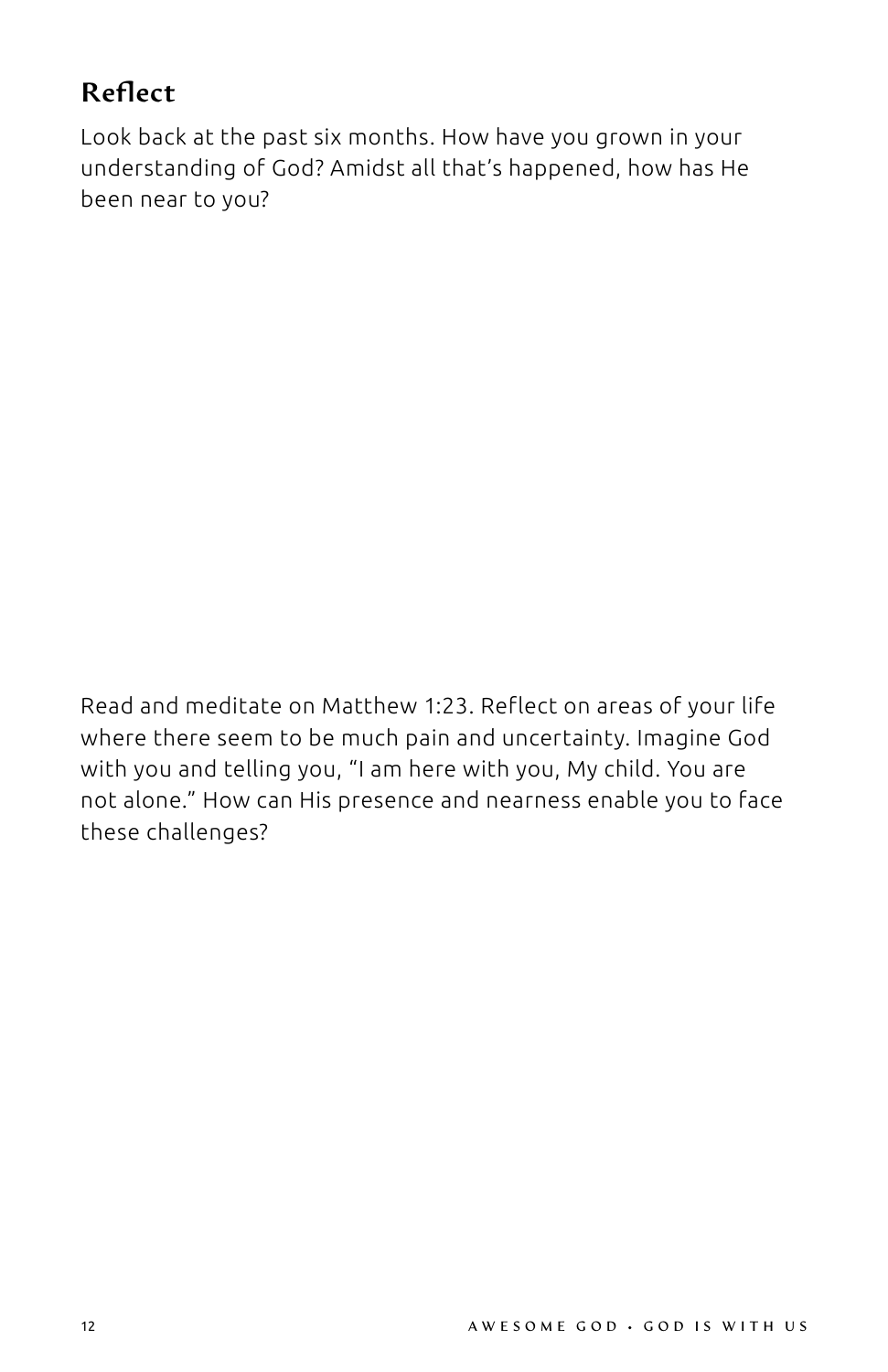#### Reflect

Look back at the past six months. How have you grown in your understanding of God? Amidst all that's happened, how has He been near to you?

Read and meditate on Matthew 1:23. Reflect on areas of your life where there seem to be much pain and uncertainty. Imagine God with you and telling you, "I am here with you, My child. You are not alone." How can His presence and nearness enable you to face these challenges?